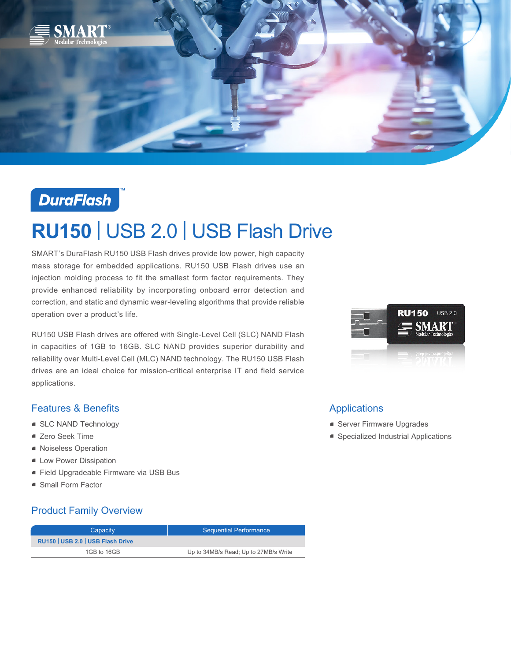

## **DuraFlash**

# **RU150** | USB 2.0 | USB Flash Drive

SMART's DuraFlash RU150 USB Flash drives provide low power, high capacity mass storage for embedded applications. RU150 USB Flash drives use an injection molding process to fit the smallest form factor requirements. They provide enhanced reliability by incorporating onboard error detection and correction, and static and dynamic wear-leveling algorithms that provide reliable operation over a product's life.

RU150 USB Flash drives are offered with Single-Level Cell (SLC) NAND Flash in capacities of 1GB to 16GB. SLC NAND provides superior durability and reliability over Multi-Level Cell (MLC) NAND technology. The RU150 USB Flash drives are an ideal choice for mission-critical enterprise IT and field service applications.

#### Features & Benefits

- **SLC NAND Technology**
- Zero Seek Time
- Noiseless Operation
- **E** Low Power Dissipation
- Field Upgradeable Firmware via USB Bus
- Small Form Factor

#### Product Family Overview

| Capacity                          | <b>Sequential Performance</b>         |
|-----------------------------------|---------------------------------------|
| RU150   USB 2.0   USB Flash Drive |                                       |
| 1GB to 16GB                       | Up to 34MB/s Read; Up to 27MB/s Write |



#### Applications

- **Server Firmware Upgrades**
- **•** Specialized Industrial Applications